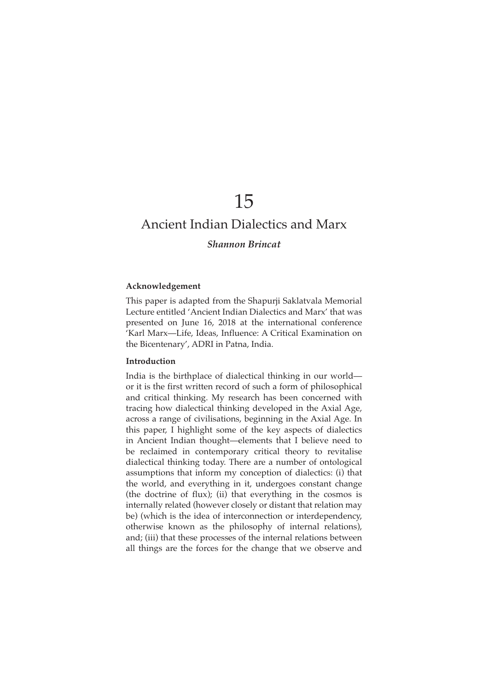# 15

# Ancient Indian Dialectics and Marx

# *Shannon Brincat*

# ${\bf Acknowledgement}$

This paper is adapted from the Shapurji Saklatvala Memorial Lecture entitled 'Ancient Indian Dialectics and Marx' that was presented on June 16, 2018 at the international conference 'Karl Marx—Life, Ideas, Influence: A Critical Examination on the Bicentenary', ADRI in Patna, India.

#### **Introduction**

India is the birthplace of dialectical thinking in our world or it is the first written record of such a form of philosophical and critical thinking. My research has been concerned with tracing how dialectical thinking developed in the Axial Age, across a range of civilisations, beginning in the Axial Age. In this paper, I highlight some of the key aspects of dialectics in Ancient Indian thought—elements that I believe need to be reclaimed in contemporary critical theory to revitalise dialectical thinking today. There are a number of ontological assumptions that inform my conception of dialectics: (i) that the world, and everything in it, undergoes constant change (the doctrine of flux); (ii) that everything in the cosmos is internally related (however closely or distant that relation may be) (which is the idea of interconnection or interdependency, otherwise known as the philosophy of internal relations), and; (iii) that these processes of the internal relations between all things are the forces for the change that we observe and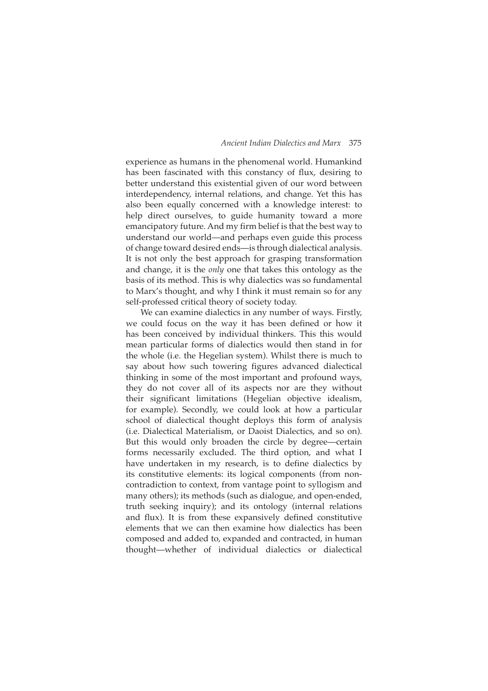experience as humans in the phenomenal world. Humankind has been fascinated with this constancy of flux, desiring to better understand this existential given of our word between interdependency, internal relations, and change. Yet this has also been equally concerned with a knowledge interest: to help direct ourselves, to guide humanity toward a more emancipatory future. And my firm belief is that the best way to understand our world—and perhaps even guide this process of change toward desired ends—is through dialectical analysis. It is not only the best approach for grasping transformation and change, it is the *only* one that takes this ontology as the basis of its method. This is why dialectics was so fundamental to Marx's thought, and why I think it must remain so for any self-professed critical theory of society today.

We can examine dialectics in any number of ways. Firstly, we could focus on the way it has been defined or how it has been conceived by individual thinkers. This this would mean particular forms of dialectics would then stand in for the whole (i.e. the Hegelian system). Whilst there is much to say about how such towering figures advanced dialectical thinking in some of the most important and profound ways, they do not cover all of its aspects nor are they without their significant limitations (Hegelian objective idealism, for example). Secondly, we could look at how a particular school of dialectical thought deploys this form of analysis (i.e. Dialectical Materialism, or Daoist Dialectics, and so on). But this would only broaden the circle by degree—certain forms necessarily excluded. The third option, and what I have undertaken in my research, is to define dialectics by its constitutive elements: its logical components (from noncontradiction to context, from vantage point to syllogism and many others); its methods (such as dialogue, and open-ended, truth seeking inquiry); and its ontology (internal relations and flux). It is from these expansively defined constitutive elements that we can then examine how dialectics has been composed and added to, expanded and contracted, in human thought—whether of individual dialectics or dialectical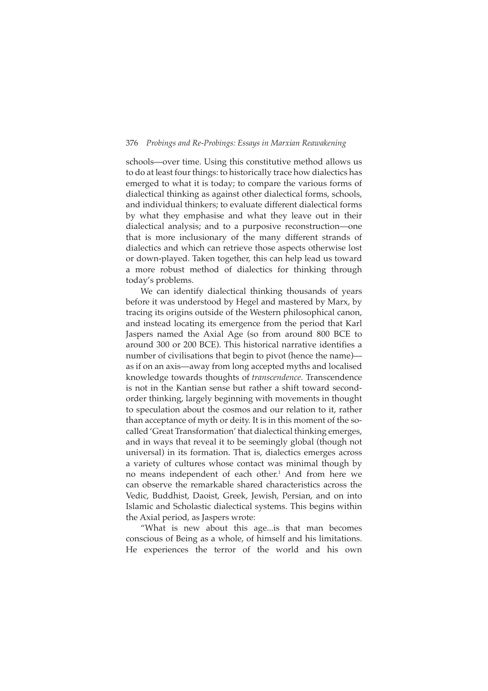schools—over time. Using this constitutive method allows us to do at least four things: to historically trace how dialectics has emerged to what it is today; to compare the various forms of dialectical thinking as against other dialectical forms, schools, and individual thinkers; to evaluate different dialectical forms by what they emphasise and what they leave out in their dialectical analysis; and to a purposive reconstruction—one that is more inclusionary of the many different strands of dialectics and which can retrieve those aspects otherwise lost or down-played. Taken together, this can help lead us toward a more robust method of dialectics for thinking through today's problems.

We can identify dialectical thinking thousands of years before it was understood by Hegel and mastered by Marx, by tracing its origins outside of the Western philosophical canon, and instead locating its emergence from the period that Karl Jaspers named the Axial Age (so from around 800 BCE to around 300 or 200 BCE). This historical narrative identifies a number of civilisations that begin to pivot (hence the name) as if on an axis—away from long accepted myths and localised knowledge towards thoughts of *transcendence*. Transcendence is not in the Kantian sense but rather a shift toward secondorder thinking, largely beginning with movements in thought to speculation about the cosmos and our relation to it, rather than acceptance of myth or deity. It is in this moment of the socalled 'Great Transformation' that dialectical thinking emerges, and in ways that reveal it to be seemingly global (though not universal) in its formation. That is, dialectics emerges across a variety of cultures whose contact was minimal though by no means independent of each other.<sup>1</sup> And from here we can observe the remarkable shared characteristics across the Vedic, Buddhist, Daoist, Greek, Jewish, Persian, and on into Islamic and Scholastic dialectical systems. This begins within the Axial period, as Jaspers wrote:

"What is new about this age...is that man becomes conscious of Being as a whole, of himself and his limitations. He experiences the terror of the world and his own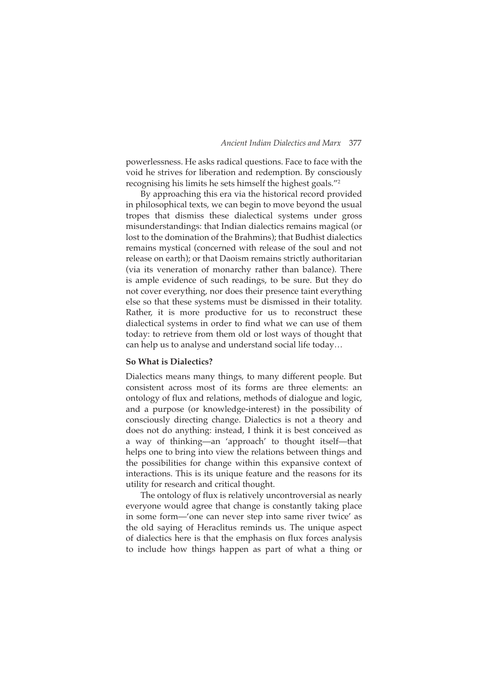powerlessness. He asks radical questions. Face to face with the void he strives for liberation and redemption. By consciously recognising his limits he sets himself the highest goals."<sup>2</sup>

By approaching this era via the historical record provided in philosophical texts, we can begin to move beyond the usual tropes that dismiss these dialectical systems under gross misunderstandings: that Indian dialectics remains magical (or lost to the domination of the Brahmins); that Budhist dialectics remains mystical (concerned with release of the soul and not release on earth); or that Daoism remains strictly authoritarian (via its veneration of monarchy rather than balance). There is ample evidence of such readings, to be sure. But they do not cover everything, nor does their presence taint everything else so that these systems must be dismissed in their totality. Rather, it is more productive for us to reconstruct these dialectical systems in order to find what we can use of them today: to retrieve from them old or lost ways of thought that can help us to analyse and understand social life today…

# **So What is Dialectics?**

Dialectics means many things, to many different people. But consistent across most of its forms are three elements: an ontology of flux and relations, methods of dialogue and logic, and a purpose (or knowledge-interest) in the possibility of consciously directing change. Dialectics is not a theory and does not do anything: instead, I think it is best conceived as a way of thinking—an 'approach' to thought itself—that helps one to bring into view the relations between things and the possibilities for change within this expansive context of interactions. This is its unique feature and the reasons for its utility for research and critical thought.

The ontology of flux is relatively uncontroversial as nearly everyone would agree that change is constantly taking place in some form—'one can never step into same river twice' as the old saying of Heraclitus reminds us. The unique aspect of dialectics here is that the emphasis on flux forces analysis to include how things happen as part of what a thing or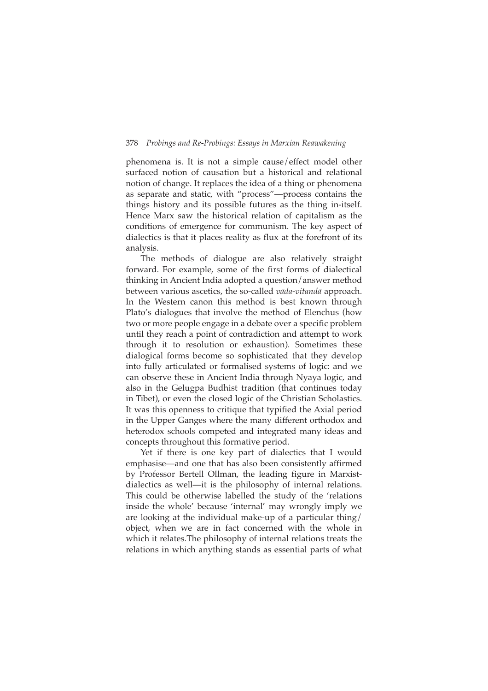phenomena is. It is not a simple cause/effect model other surfaced notion of causation but a historical and relational notion of change. It replaces the idea of a thing or phenomena as separate and static, with "process"—process contains the things history and its possible futures as the thing in-itself. Hence Marx saw the historical relation of capitalism as the conditions of emergence for communism. The key aspect of dialectics is that it places reality as flux at the forefront of its analysis.

The methods of dialogue are also relatively straight forward. For example, some of the first forms of dialectical thinking in Ancient India adopted a question/answer method between various ascetics, the so-called *vāda-vitandā* approach. In the Western canon this method is best known through Plato's dialogues that involve the method of Elenchus (how two or more people engage in a debate over a specific problem until they reach a point of contradiction and attempt to work through it to resolution or exhaustion). Sometimes these dialogical forms become so sophisticated that they develop into fully articulated or formalised systems of logic: and we can observe these in Ancient India through Nyaya logic, and also in the Gelugpa Budhist tradition (that continues today in Tibet), or even the closed logic of the Christian Scholastics. It was this openness to critique that typified the Axial period in the Upper Ganges where the many different orthodox and heterodox schools competed and integrated many ideas and concepts throughout this formative period.

Yet if there is one key part of dialectics that I would emphasise—and one that has also been consistently affirmed by Professor Bertell Ollman, the leading figure in Marxistdialectics as well—it is the philosophy of internal relations. This could be otherwise labelled the study of the 'relations inside the whole' because 'internal' may wrongly imply we are looking at the individual make-up of a particular thing/ object, when we are in fact concerned with the whole in which it relates.The philosophy of internal relations treats the relations in which anything stands as essential parts of what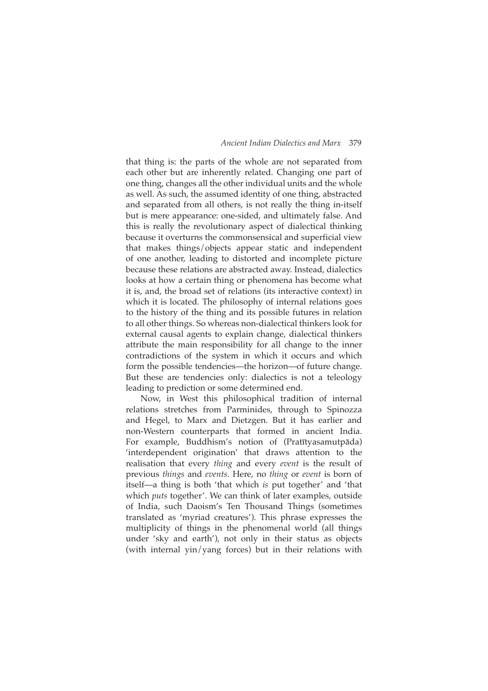that thing is: the parts of the whole are not separated from each other but are inherently related. Changing one part of one thing, changes all the other individual units and the whole as well. As such, the assumed identity of one thing, abstracted and separated from all others, is not really the thing in-itself but is mere appearance: one-sided, and ultimately false. And this is really the revolutionary aspect of dialectical thinking because it overturns the commonsensical and superficial view that makes things/objects appear static and independent of one another, leading to distorted and incomplete picture because these relations are abstracted away. Instead, dialectics looks at how a certain thing or phenomena has become what it is, and, the broad set of relations (its interactive context) in which it is located. The philosophy of internal relations goes to the history of the thing and its possible futures in relation to all other things. So whereas non-dialectical thinkers look for external causal agents to explain change, dialectical thinkers attribute the main responsibility for all change to the inner contradictions of the system in which it occurs and which form the possible tendencies—the horizon—of future change. But these are tendencies only: dialectics is not a teleology leading to prediction or some determined end.

Now, in West this philosophical tradition of internal relations stretches from Parminides, through to Spinozza and Hegel, to Marx and Dietzgen. But it has earlier and non-Western counterparts that formed in ancient India. For example, Buddhism's notion of (Pratītyasamutpāda) 'interdependent origination' that draws attention to the realisation that every *thing* and every *event* is the result of previous *things* and *events*. Here, no *thing* or *event* is born of itself—a thing is both 'that which *is* put together' and 'that which *puts* together'. We can think of later examples, outside of India, such Daoism's Ten Thousand Things (sometimes translated as 'myriad creatures'). This phrase expresses the multiplicity of things in the phenomenal world (all things under 'sky and earth'), not only in their status as objects (with internal yin/yang forces) but in their relations with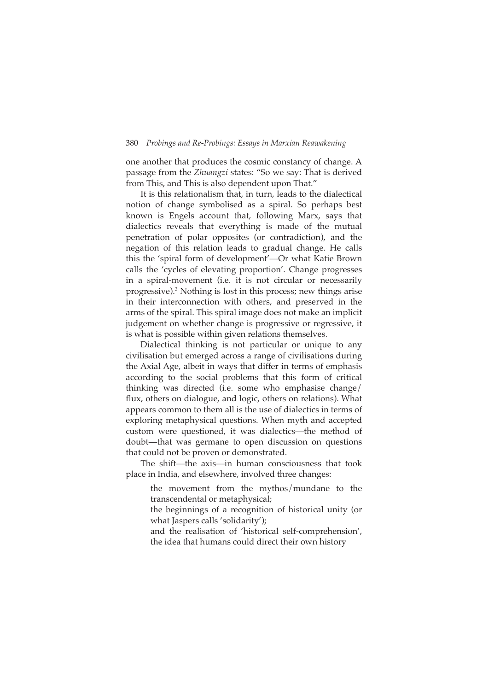one another that produces the cosmic constancy of change. A passage from the *Zhuangzi* states: "So we say: That is derived from This, and This is also dependent upon That."

It is this relationalism that, in turn, leads to the dialectical notion of change symbolised as a spiral. So perhaps best known is Engels account that, following Marx, says that dialectics reveals that everything is made of the mutual penetration of polar opposites (or contradiction), and the negation of this relation leads to gradual change. He calls this the 'spiral form of development'—Or what Katie Brown calls the 'cycles of elevating proportion'. Change progresses in a spiral-movement (i.e. it is not circular or necessarily progressive).<sup>3</sup> Nothing is lost in this process; new things arise in their interconnection with others, and preserved in the arms of the spiral. This spiral image does not make an implicit judgement on whether change is progressive or regressive, it is what is possible within given relations themselves.

Dialectical thinking is not particular or unique to any civilisation but emerged across a range of civilisations during the Axial Age, albeit in ways that differ in terms of emphasis according to the social problems that this form of critical thinking was directed (i.e. some who emphasise change/ flux, others on dialogue, and logic, others on relations). What appears common to them all is the use of dialectics in terms of exploring metaphysical questions. When myth and accepted custom were questioned, it was dialectics—the method of doubt—that was germane to open discussion on questions that could not be proven or demonstrated.

The shift—the axis—in human consciousness that took place in India, and elsewhere, involved three changes:

 the movement from the mythos/mundane to the transcendental or metaphysical;

 the beginnings of a recognition of historical unity (or what Jaspers calls 'solidarity');

 and the realisation of 'historical self-comprehension', the idea that humans could direct their own history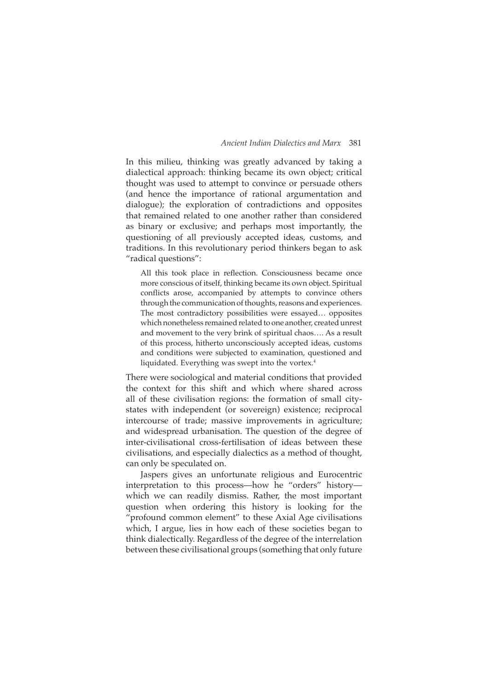In this milieu, thinking was greatly advanced by taking a dialectical approach: thinking became its own object; critical thought was used to attempt to convince or persuade others (and hence the importance of rational argumentation and dialogue); the exploration of contradictions and opposites that remained related to one another rather than considered as binary or exclusive; and perhaps most importantly, the questioning of all previously accepted ideas, customs, and traditions. In this revolutionary period thinkers began to ask "radical questions":

All this took place in reflection. Consciousness became once more conscious of itself, thinking became its own object. Spiritual conflicts arose, accompanied by attempts to convince others through the communication of thoughts, reasons and experiences. The most contradictory possibilities were essayed… opposites which nonetheless remained related to one another, created unrest and movement to the very brink of spiritual chaos…. As a result of this process, hitherto unconsciously accepted ideas, customs and conditions were subjected to examination, questioned and liquidated. Everything was swept into the vortex.<sup>4</sup>

There were sociological and material conditions that provided the context for this shift and which where shared across all of these civilisation regions: the formation of small citystates with independent (or sovereign) existence; reciprocal intercourse of trade; massive improvements in agriculture; and widespread urbanisation. The question of the degree of inter-civilisational cross-fertilisation of ideas between these civilisations, and especially dialectics as a method of thought, can only be speculated on.

Jaspers gives an unfortunate religious and Eurocentric interpretation to this process—how he "orders" history which we can readily dismiss. Rather, the most important question when ordering this history is looking for the "profound common element" to these Axial Age civilisations which, I argue, lies in how each of these societies began to think dialectically. Regardless of the degree of the interrelation between these civilisational groups (something that only future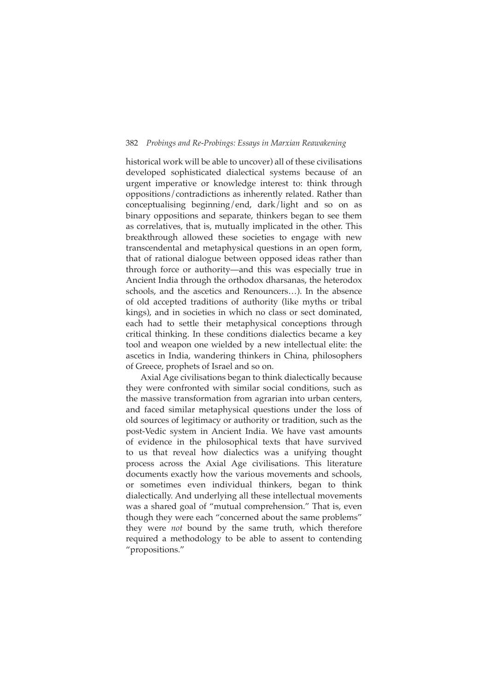historical work will be able to uncover) all of these civilisations developed sophisticated dialectical systems because of an urgent imperative or knowledge interest to: think through oppositions/contradictions as inherently related. Rather than conceptualising beginning/end, dark/light and so on as binary oppositions and separate, thinkers began to see them as correlatives, that is, mutually implicated in the other. This breakthrough allowed these societies to engage with new transcendental and metaphysical questions in an open form, that of rational dialogue between opposed ideas rather than through force or authority—and this was especially true in Ancient India through the orthodox dharsanas, the heterodox schools, and the ascetics and Renouncers…). In the absence of old accepted traditions of authority (like myths or tribal kings), and in societies in which no class or sect dominated, each had to settle their metaphysical conceptions through critical thinking. In these conditions dialectics became a key tool and weapon one wielded by a new intellectual elite: the ascetics in India, wandering thinkers in China, philosophers of Greece, prophets of Israel and so on.

Axial Age civilisations began to think dialectically because they were confronted with similar social conditions, such as the massive transformation from agrarian into urban centers, and faced similar metaphysical questions under the loss of old sources of legitimacy or authority or tradition, such as the post-Vedic system in Ancient India. We have vast amounts of evidence in the philosophical texts that have survived to us that reveal how dialectics was a unifying thought process across the Axial Age civilisations. This literature documents exactly how the various movements and schools, or sometimes even individual thinkers, began to think dialectically. And underlying all these intellectual movements was a shared goal of "mutual comprehension." That is, even though they were each "concerned about the same problems" they were *not* bound by the same truth, which therefore required a methodology to be able to assent to contending "propositions."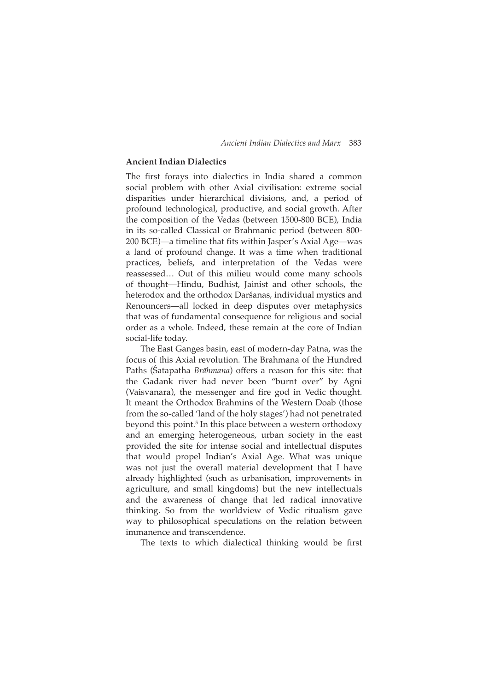# **Ancient Indian Dialectics**

The first forays into dialectics in India shared a common social problem with other Axial civilisation: extreme social disparities under hierarchical divisions, and, a period of profound technological, productive, and social growth. After the composition of the Vedas (between 1500-800 BCE), India in its so-called Classical or Brahmanic period (between 800- 200 BCE)—a timeline that fits within Jasper's Axial Age—was a land of profound change. It was a time when traditional practices, beliefs, and interpretation of the Vedas were reassessed… Out of this milieu would come many schools of thought—Hindu, Budhist, Jainist and other schools, the heterodox and the orthodox Darśanas, individual mystics and Renouncers—all locked in deep disputes over metaphysics that was of fundamental consequence for religious and social order as a whole. Indeed, these remain at the core of Indian social-life today.

The East Ganges basin, east of modern-day Patna, was the focus of this Axial revolution*.* The Brahmana of the Hundred Paths (Satapatha *Brāhmana*) offers a reason for this site: that the Gadank river had never been "burnt over" by Agni (Vaisvanara), the messenger and fire god in Vedic thought. It meant the Orthodox Brahmins of the Western Doab (those from the so-called 'land of the holy stages') had not penetrated beyond this point.<sup>5</sup> In this place between a western orthodoxy and an emerging heterogeneous, urban society in the east provided the site for intense social and intellectual disputes that would propel Indian's Axial Age. What was unique was not just the overall material development that I have already highlighted (such as urbanisation, improvements in agriculture, and small kingdoms) but the new intellectuals and the awareness of change that led radical innovative thinking. So from the worldview of Vedic ritualism gave way to philosophical speculations on the relation between immanence and transcendence.

The texts to which dialectical thinking would be first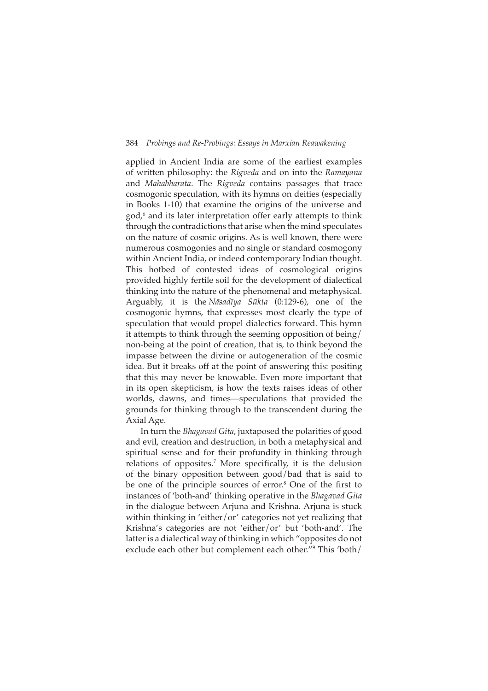applied in Ancient India are some of the earliest examples of written philosophy: the *Rigveda* and on into the *Ramayana* and *Mahabharata*. The *Rigveda* contains passages that trace cosmogonic speculation, with its hymns on deities (especially in Books 1-10) that examine the origins of the universe and god,<sup>6</sup> and its later interpretation offer early attempts to think through the contradictions that arise when the mind speculates on the nature of cosmic origins. As is well known, there were numerous cosmogonies and no single or standard cosmogony within Ancient India, or indeed contemporary Indian thought. This hotbed of contested ideas of cosmological origins provided highly fertile soil for the development of dialectical thinking into the nature of the phenomenal and metaphysical. Arguably, it is the *Nāsadīya Sūkta* (0:129-6), one of the cosmogonic hymns, that expresses most clearly the type of speculation that would propel dialectics forward. This hymn it attempts to think through the seeming opposition of being/ non-being at the point of creation, that is, to think beyond the impasse between the divine or autogeneration of the cosmic idea. But it breaks off at the point of answering this: positing that this may never be knowable. Even more important that in its open skepticism, is how the texts raises ideas of other worlds, dawns, and times—speculations that provided the grounds for thinking through to the transcendent during the Axial Age.

In turn the *Bhagavad Gita*, juxtaposed the polarities of good and evil, creation and destruction, in both a metaphysical and spiritual sense and for their profundity in thinking through relations of opposites.<sup>7</sup> More specifically, it is the delusion of the binary opposition between good/bad that is said to be one of the principle sources of error.<sup>8</sup> One of the first to instances of 'both-and' thinking operative in the *Bhagavad Gita* in the dialogue between Arjuna and Krishna. Arjuna is stuck within thinking in 'either/or' categories not yet realizing that Krishna's categories are not 'either/or' but 'both-and'. The latter is a dialectical way of thinking in which "opposites do not exclude each other but complement each other."<sup>9</sup> This 'both/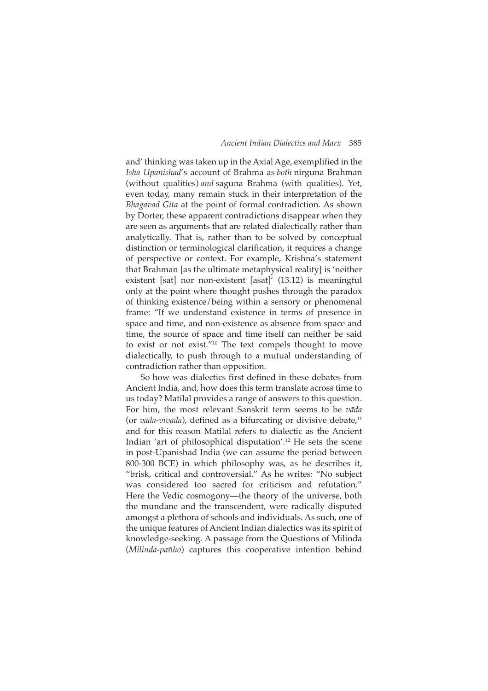and' thinking was taken up in the Axial Age, exemplified in the *Isha Upanishad's* account of Brahma as *both* nirguna Brahman (without qualities) *and* saguna Brahma (with qualities). Yet, even today, many remain stuck in their interpretation of the *Bhagavad Gita* at the point of formal contradiction. As shown by Dorter, these apparent contradictions disappear when they are seen as arguments that are related dialectically rather than analytically. That is, rather than to be solved by conceptual distinction or terminological clarification, it requires a change of perspective or context. For example, Krishna's statement that Brahman [as the ultimate metaphysical reality] is 'neither existent [sat] nor non-existent [asat]' (13.12) is meaningful only at the point where thought pushes through the paradox of thinking existence/being within a sensory or phenomenal frame: "If we understand existence in terms of presence in space and time, and non-existence as absence from space and time, the source of space and time itself can neither be said to exist or not exist."<sup>10</sup> The text compels thought to move dialectically, to push through to a mutual understanding of contradiction rather than opposition.

So how was dialectics first defined in these debates from Ancient India, and, how does this term translate across time to us today? Matilal provides a range of answers to this question. For him, the most relevant Sanskrit term seems to be *vāda* (or *vāda-vivāda*), defined as a bifurcating or divisive debate,<sup>11</sup> and for this reason Matilal refers to dialectic as the Ancient Indian 'art of philosophical disputation'.<sup>12</sup> He sets the scene in post-Upanishad India (we can assume the period between 800-300 BCE) in which philosophy was, as he describes it, "brisk, critical and controversial." As he writes: "No subject was considered too sacred for criticism and refutation." Here the Vedic cosmogony—the theory of the universe, both the mundane and the transcendent, were radically disputed amongst a plethora of schools and individuals. As such, one of the unique features of Ancient Indian dialectics was its spirit of knowledge-seeking. A passage from the Questions of Milinda (*Milinda-pañho*) captures this cooperative intention behind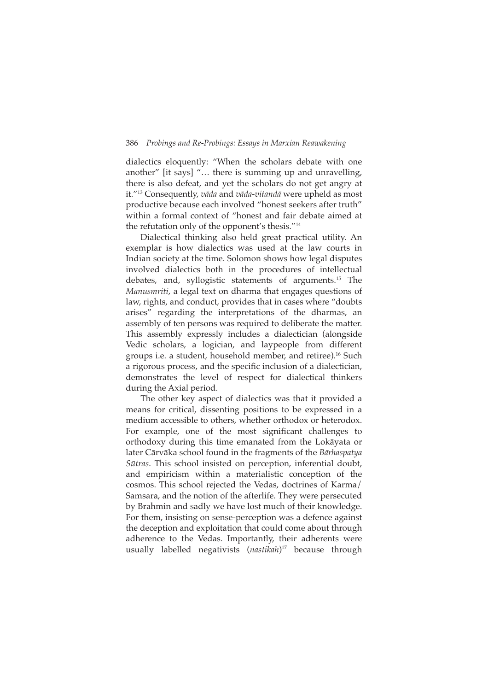dialectics eloquently: "When the scholars debate with one another" [it says] "... there is summing up and unravelling, there is also defeat, and yet the scholars do not get angry at it."<sup>13</sup> Consequently, vāda and vāda-vitandā were upheld as most productive because each involved "honest seekers after truth" within a formal context of "honest and fair debate aimed at the refutation only of the opponent's thesis."<sup>14</sup>

Dialectical thinking also held great practical utility. An exemplar is how dialectics was used at the law courts in Indian society at the time. Solomon shows how legal disputes involved dialectics both in the procedures of intellectual debates, and, syllogistic statements of arguments.<sup>15</sup> The Manusmriti, a legal text on dharma that engages questions of law, rights, and conduct, provides that in cases where "doubts arises" regarding the interpretations of the dharmas, an assembly of ten persons was required to deliberate the matter. This assembly expressly includes a dialectician (alongside Vedic scholars, a logician, and laypeople from different groups i.e. a student, household member, and retiree).<sup>16</sup> Such a rigorous process, and the specific inclusion of a dialectician, demonstrates the level of respect for dialectical thinkers during the Axial period.

The other key aspect of dialectics was that it provided a means for critical, dissenting positions to be expressed in a medium accessible to others, whether orthodox or heterodox. For example, one of the most significant challenges to orthodoxy during this time emanated from the Lokāyata or later Cārvāka school found in the fragments of the Bārhaspatya Sūtras. This school insisted on perception, inferential doubt, and empiricism within a materialistic conception of the cosmos. This school rejected the Vedas, doctrines of Karma/ Samsara, and the notion of the afterlife. They were persecuted by Brahmin and sadly we have lost much of their knowledge. For them, insisting on sense-perception was a defence against the deception and exploitation that could come about through adherence to the Vedas. Importantly, their adherents were usually labelled negativists (nastikah)<sup>17</sup> because through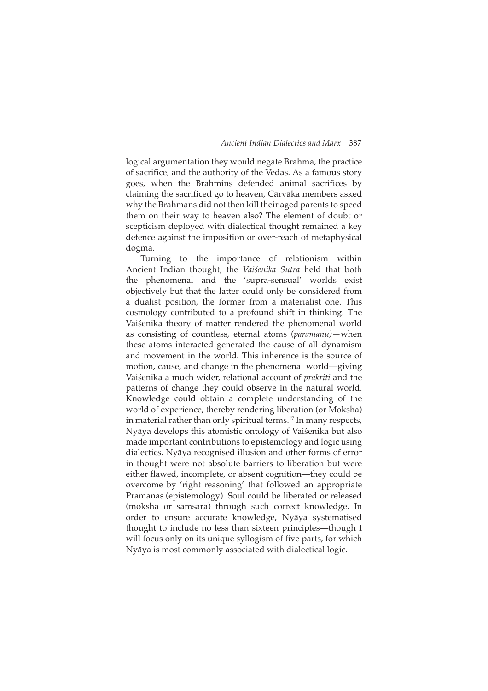logical argumentation they would negate Brahma, the practice of sacrifice, and the authority of the Vedas. As a famous story goes, when the Brahmins defended animal sacrifices by claiming the sacrificed go to heaven, Cārvāka members asked why the Brahmans did not then kill their aged parents to speed them on their way to heaven also? The element of doubt or scepticism deployed with dialectical thought remained a key defence against the imposition or over-reach of metaphysical dogma.

Turning to the importance of relationism within Ancient Indian thought, the Vaisenika Sutra held that both the phenomenal and the 'supra-sensual' worlds exist objectively but that the latter could only be considered from a dualist position, the former from a materialist one. This cosmology contributed to a profound shift in thinking. The Vaiśenika theory of matter rendered the phenomenal world as consisting of countless, eternal atoms (paramanu)-when these atoms interacted generated the cause of all dynamism and movement in the world. This inherence is the source of motion, cause, and change in the phenomenal world—giving Vaiśenika a much wider, relational account of *prakriti* and the patterns of change they could observe in the natural world. Knowledge could obtain a complete understanding of the world of experience, thereby rendering liberation (or Moksha) in material rather than only spiritual terms.<sup>17</sup> In many respects, Nyāya develops this atomistic ontology of Vaiśenika but also made important contributions to epistemology and logic using dialectics. Nyāya recognised illusion and other forms of error in thought were not absolute barriers to liberation but were either flawed, incomplete, or absent cognition—they could be overcome by 'right reasoning' that followed an appropriate Pramanas (epistemology). Soul could be liberated or released (moksha or samsara) through such correct knowledge. In order to ensure accurate knowledge, Nyāya systematised thought to include no less than sixteen principles—though I will focus only on its unique syllogism of five parts, for which Nyāya is most commonly associated with dialectical logic.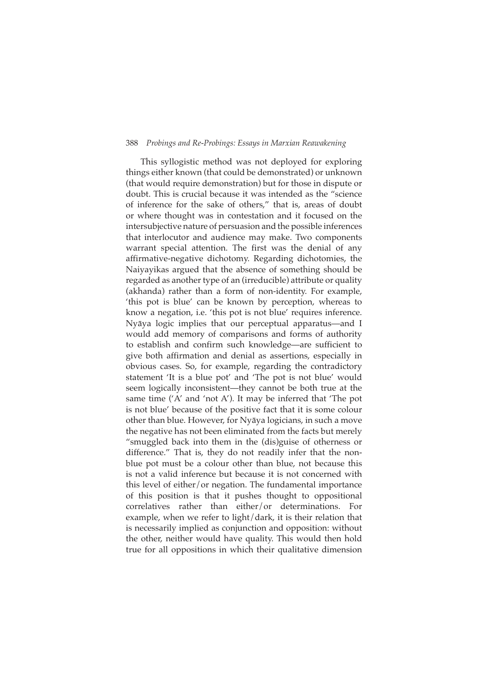This syllogistic method was not deployed for exploring things either known (that could be demonstrated) or unknown (that would require demonstration) but for those in dispute or doubt. This is crucial because it was intended as the "science of inference for the sake of others," that is, areas of doubt or where thought was in contestation and it focused on the intersubjective nature of persuasion and the possible inferences that interlocutor and audience may make. Two components warrant special attention. The first was the denial of any affirmative-negative dichotomy. Regarding dichotomies, the Naiyayikas argued that the absence of something should be regarded as another type of an (irreducible) attribute or quality (akhanda) rather than a form of non-identity. For example, 'this pot is blue' can be known by perception, whereas to know a negation, i.e. 'this pot is not blue' requires inference. Nyāya logic implies that our perceptual apparatus—and I would add memory of comparisons and forms of authority to establish and confirm such knowledge-are sufficient to give both affirmation and denial as assertions, especially in obvious cases. So, for example, regarding the contradictory statement 'It is a blue pot' and 'The pot is not blue' would seem logically inconsistent-they cannot be both true at the same time ('A' and 'not A'). It may be inferred that 'The pot is not blue' because of the positive fact that it is some colour other than blue. However, for Nyaya logicians, in such a move the negative has not been eliminated from the facts but merely "smuggled back into them in the (dis)guise of otherness or difference." That is, they do not readily infer that the nonblue pot must be a colour other than blue, not because this is not a valid inference but because it is not concerned with this level of either/or negation. The fundamental importance of this position is that it pushes thought to oppositional correlatives rather than either/or determinations. For example, when we refer to light/dark, it is their relation that is necessarily implied as conjunction and opposition: without the other, neither would have quality. This would then hold true for all oppositions in which their qualitative dimension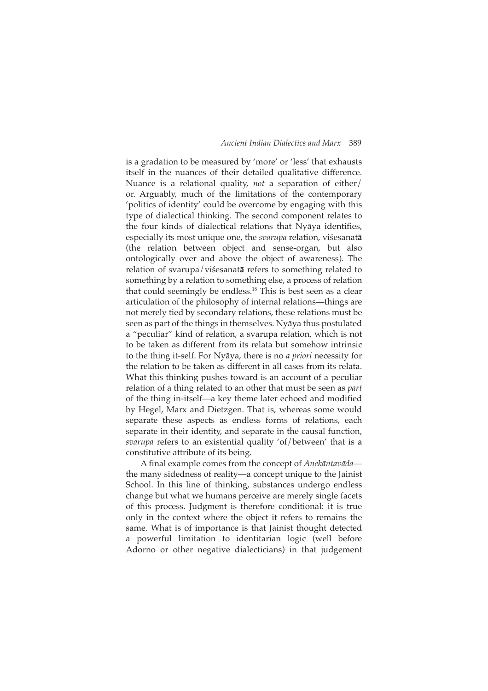is a gradation to be measured by 'more' or 'less' that exhausts itself in the nuances of their detailed qualitative difference. Nuance is a relational quality, *not* a separation of either/ or. Arguably, much of the limitations of the contemporary 'politics of identity' could be overcome by engaging with this type of dialectical thinking. The second component relates to the four kinds of dialectical relations that Nyāya identifies, especially its most unique one, the *svarupa* relation, viśesanatā (the relation between object and sense-organ, but also ontologically over and above the object of awareness). The relation of svarupa/viśesanat**ā** refers to something related to something by a relation to something else, a process of relation that could seemingly be endless.<sup>18</sup> This is best seen as a clear articulation of the philosophy of internal relations—things are not merely tied by secondary relations, these relations must be seen as part of the things in themselves. Nyāya thus postulated a "peculiar" kind of relation, a svarupa relation, which is not to be taken as different from its relata but somehow intrinsic to the thing it-self. For Nyaya, there is no *a priori* necessity for the relation to be taken as different in all cases from its relata. What this thinking pushes toward is an account of a peculiar relation of a thing related to an other that must be seen as *part*  of the thing in-itself—a key theme later echoed and modified by Hegel, Marx and Dietzgen. That is, whereas some would separate these aspects as endless forms of relations, each separate in their identity, and separate in the causal function, *svarupa* refers to an existential quality 'of/between' that is a constitutive attribute of its being.

A final example comes from the concept of *Anekāntavāda* the many sidedness of reality—a concept unique to the Jainist School. In this line of thinking, substances undergo endless change but what we humans perceive are merely single facets of this process. Judgment is therefore conditional: it is true only in the context where the object it refers to remains the same. What is of importance is that Jainist thought detected a powerful limitation to identitarian logic (well before Adorno or other negative dialecticians) in that judgement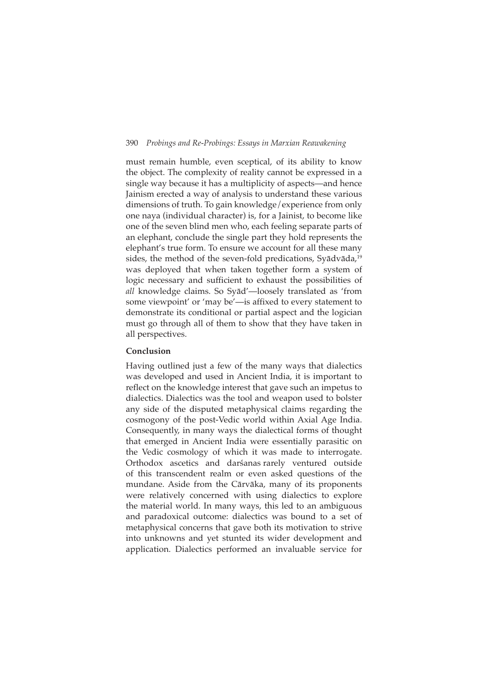must remain humble, even sceptical, of its ability to know the object. The complexity of reality cannot be expressed in a single way because it has a multiplicity of aspects—and hence Jainism erected a way of analysis to understand these various dimensions of truth. To gain knowledge/experience from only one naya (individual character) is, for a Jainist, to become like one of the seven blind men who, each feeling separate parts of an elephant, conclude the single part they hold represents the elephant's true form. To ensure we account for all these many sides, the method of the seven-fold predications, Syādvāda,<sup>19</sup> was deployed that when taken together form a system of logic necessary and sufficient to exhaust the possibilities of all knowledge claims. So Syad'-loosely translated as 'from some viewpoint' or 'may be'—is affixed to every statement to demonstrate its conditional or partial aspect and the logician must go through all of them to show that they have taken in all perspectives.

# Conclusion

Having outlined just a few of the many ways that dialectics was developed and used in Ancient India, it is important to reflect on the knowledge interest that gave such an impetus to dialectics. Dialectics was the tool and weapon used to bolster any side of the disputed metaphysical claims regarding the cosmogony of the post-Vedic world within Axial Age India. Consequently, in many ways the dialectical forms of thought that emerged in Ancient India were essentially parasitic on the Vedic cosmology of which it was made to interrogate. Orthodox ascetics and darśanas rarely ventured outside of this transcendent realm or even asked questions of the mundane. Aside from the Cārvāka, many of its proponents were relatively concerned with using dialectics to explore the material world. In many ways, this led to an ambiguous and paradoxical outcome: dialectics was bound to a set of metaphysical concerns that gave both its motivation to strive into unknowns and yet stunted its wider development and application. Dialectics performed an invaluable service for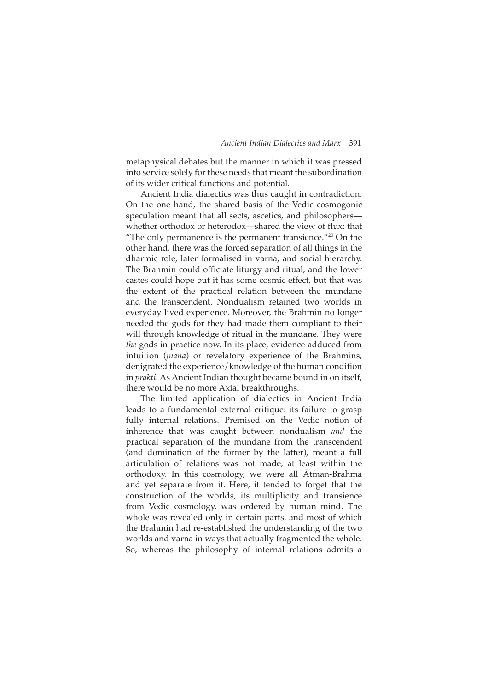metaphysical debates but the manner in which it was pressed into service solely for these needs that meant the subordination of its wider critical functions and potential.

Ancient India dialectics was thus caught in contradiction. On the one hand, the shared basis of the Vedic cosmogonic speculation meant that all sects, ascetics, and philosophers whether orthodox or heterodox—shared the view of flux: that "The only permanence is the permanent transience."<sup>20</sup> On the other hand, there was the forced separation of all things in the dharmic role, later formalised in varna, and social hierarchy. The Brahmin could officiate liturgy and ritual, and the lower castes could hope but it has some cosmic effect, but that was the extent of the practical relation between the mundane and the transcendent. Nondualism retained two worlds in everyday lived experience. Moreover, the Brahmin no longer needed the gods for they had made them compliant to their will through knowledge of ritual in the mundane. They were *the* gods in practice now. In its place, evidence adduced from intuition (*jnana*) or revelatory experience of the Brahmins, denigrated the experience/knowledge of the human condition in *prakti*. As Ancient Indian thought became bound in on itself, there would be no more Axial breakthroughs.

The limited application of dialectics in Ancient India leads to a fundamental external critique: its failure to grasp fully internal relations. Premised on the Vedic notion of inherence that was caught between nondualism *and* the practical separation of the mundane from the transcendent (and domination of the former by the latter), meant a full articulation of relations was not made, at least within the orthodoxy. In this cosmology, we were all Atman-Brahma and yet separate from it. Here, it tended to forget that the construction of the worlds, its multiplicity and transience from Vedic cosmology, was ordered by human mind. The whole was revealed only in certain parts, and most of which the Brahmin had re-established the understanding of the two worlds and varna in ways that actually fragmented the whole. So, whereas the philosophy of internal relations admits a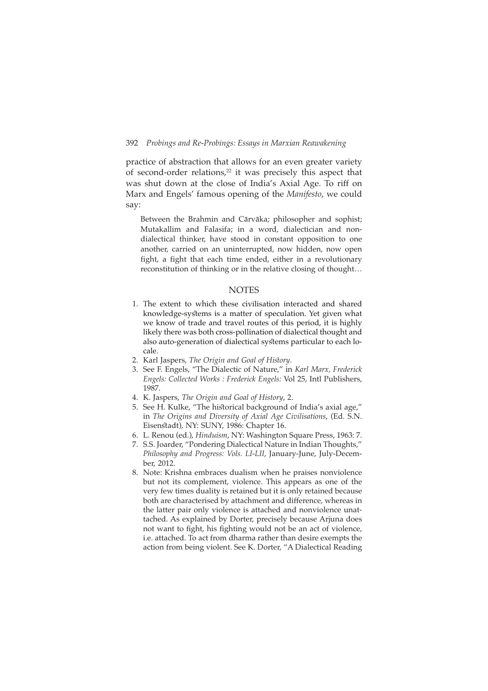practice of abstraction that allows for an even greater variety of second-order relations,<sup>22</sup> it was precisely this aspect that was shut down at the close of India's Axial Age. To riff on Marx and Engels' famous opening of the Manifesto, we could say:

Between the Brahmin and Cārvāka; philosopher and sophist; Mutakallim and Falasifa; in a word, dialectician and nondialectical thinker, have stood in constant opposition to one another, carried on an uninterrupted, now hidden, now open fight, a fight that each time ended, either in a revolutionary reconstitution of thinking or in the relative closing of thought...

# **NOTES**

- 1. The extent to which these civilisation interacted and shared knowledge-systems is a matter of speculation. Yet given what we know of trade and travel routes of this period, it is highly likely there was both cross-pollination of dialectical thought and also auto-generation of dialectical systems particular to each locale
- 2. Karl Jaspers, The Origin and Goal of History.
- 3. See F. Engels, "The Dialectic of Nature," in Karl Marx, Frederick Engels: Collected Works : Frederick Engels: Vol 25, Intl Publishers, 1987.
- 4. K. Jaspers, The Origin and Goal of History, 2.
- 5. See H. Kulke, "The historical background of India's axial age," in The Origins and Diversity of Axial Age Civilisations, (Ed. S.N. Eisenstadt), NY: SUNY, 1986: Chapter 16.
- 6. L. Renou (ed.), Hinduism, NY: Washington Square Press, 1963: 7.
- 7. S.S. Joarder, "Pondering Dialectical Nature in Indian Thoughts," Philosophy and Progress: Vols. LI-LII, January-June, July-December, 2012.
- 8. Note: Krishna embraces dualism when he praises nonviolence but not its complement, violence. This appears as one of the very few times duality is retained but it is only retained because both are characterised by attachment and difference, whereas in the latter pair only violence is attached and nonviolence unattached. As explained by Dorter, precisely because Arjuna does not want to fight, his fighting would not be an act of violence, i.e. attached. To act from dharma rather than desire exempts the action from being violent. See K. Dorter, "A Dialectical Reading